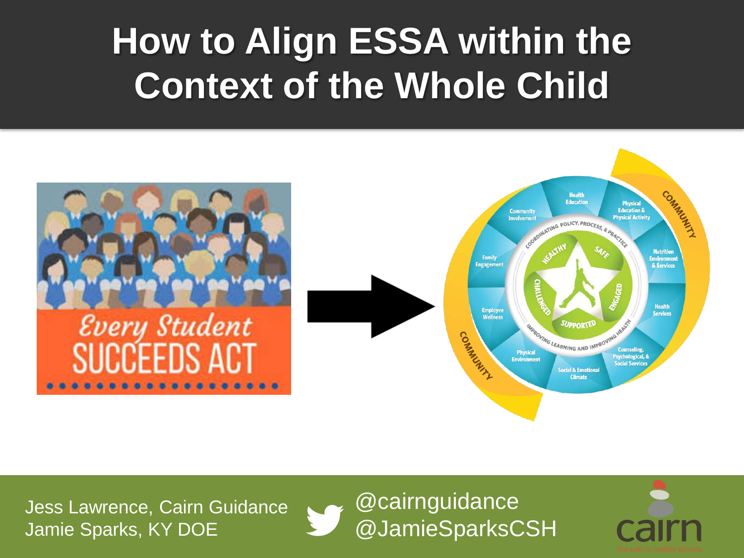#### **How to Align ESSA within the Context of the Whole Child**



Jess Lawrence, Cairn Guidance Jamie Sparks, KY DOE



@cairnguidance @JamieSparksCSH

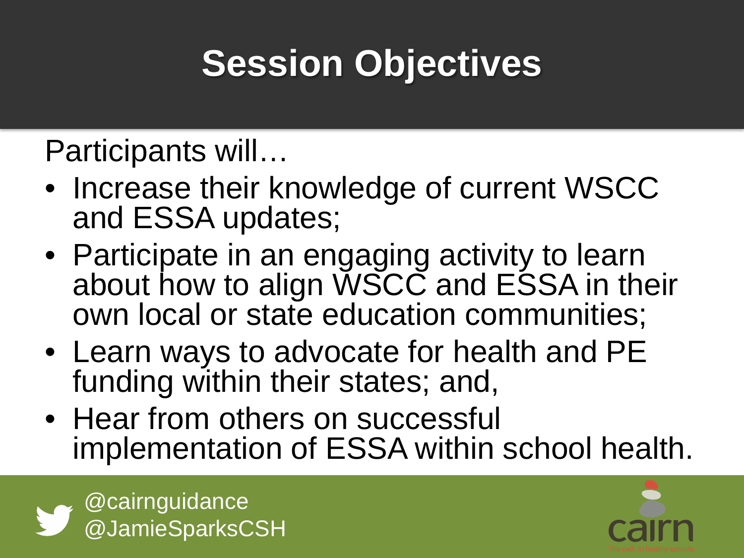### **Session Objectives**

Participants will…

- Increase their knowledge of current WSCC and ESSA updates;
- Participate in an engaging activity to learn about how to align WSCC and ESSA in their own local or state education communities;
- Learn ways to advocate for health and PE funding within their states; and,
- Hear from others on successful implementation of ESSA within school health.



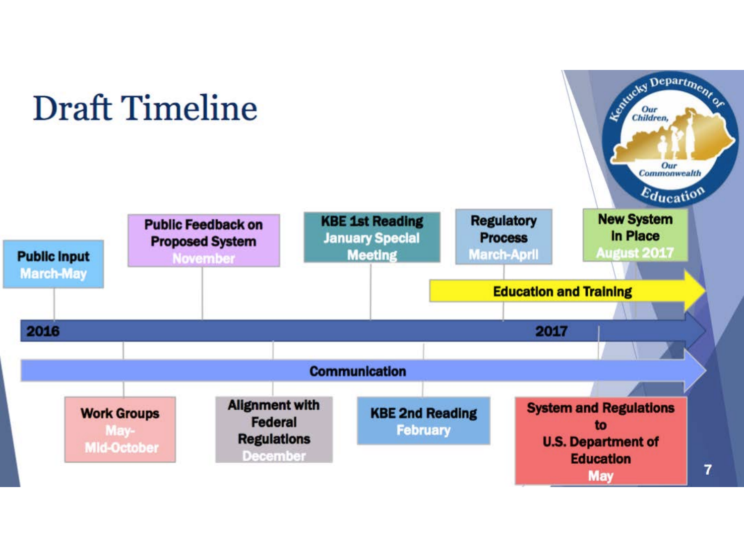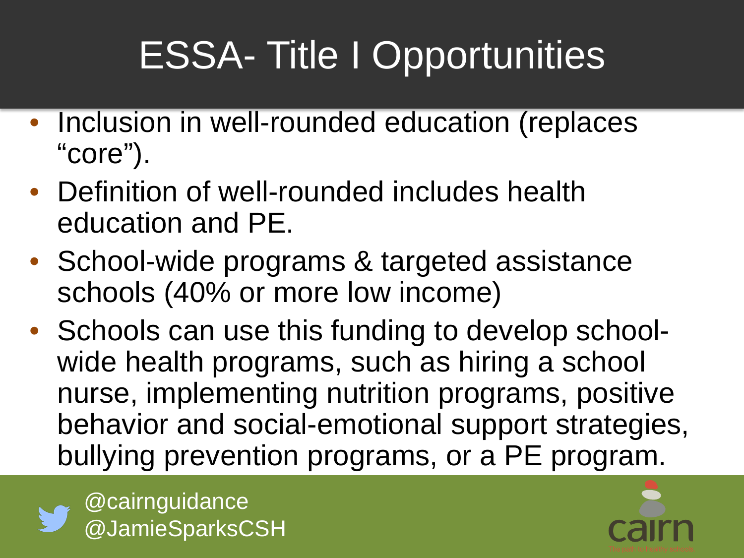## ESSA- Title I Opportunities

- Inclusion in well-rounded education (replaces "core").
- Definition of well-rounded includes health education and PE.
- School-wide programs & targeted assistance schools (40% or more low income)
- Schools can use this funding to develop schoolwide health programs, such as hiring a school nurse, implementing nutrition programs, positive behavior and social-emotional support strategies, bullying prevention programs, or a PE program.



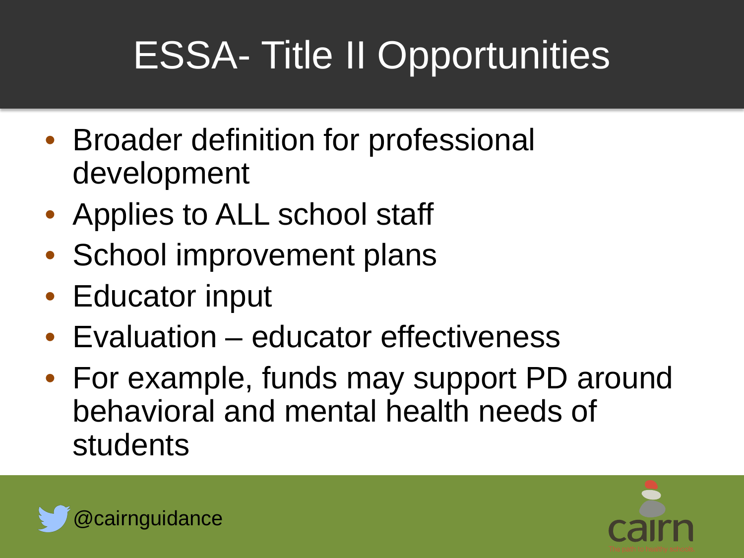## ESSA- Title II Opportunities

- Broader definition for professional development
- Applies to ALL school staff
- School improvement plans
- Educator input
- Evaluation educator effectiveness
- For example, funds may support PD around behavioral and mental health needs of students



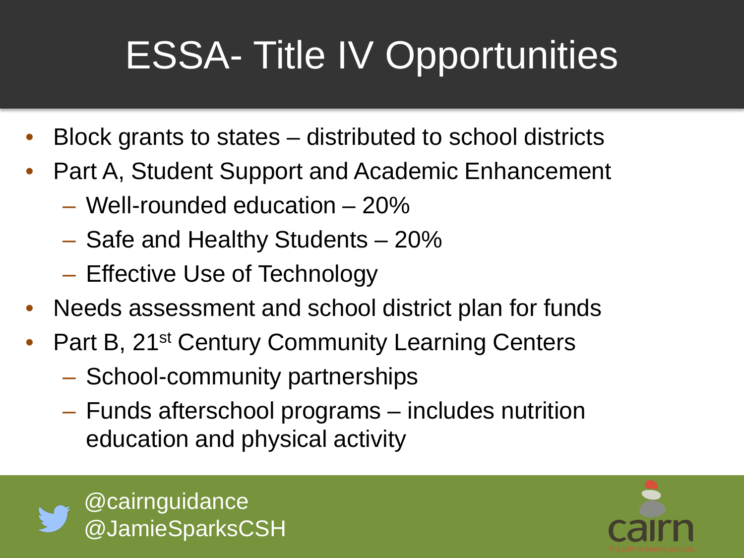## ESSA- Title IV Opportunities

- Block grants to states distributed to school districts
- Part A, Student Support and Academic Enhancement
	- Well-rounded education 20%
	- Safe and Healthy Students 20%
	- Effective Use of Technology
- Needs assessment and school district plan for funds
- Part B, 21<sup>st</sup> Century Community Learning Centers
	- School-community partnerships
	- Funds afterschool programs includes nutrition education and physical activity



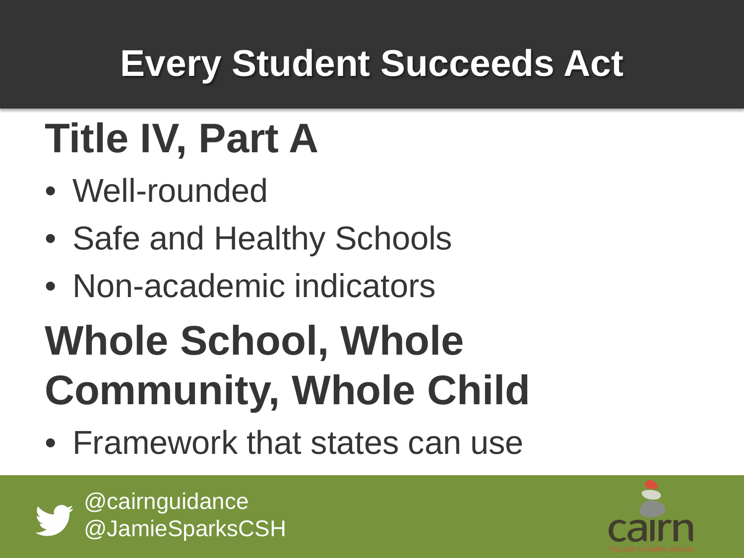### **Every Student Succeeds Act**

# **Title IV, Part A**

- Well-rounded
- Safe and Healthy Schools
- Non-academic indicators

# **Whole School, Whole Community, Whole Child**

• Framework that states can use



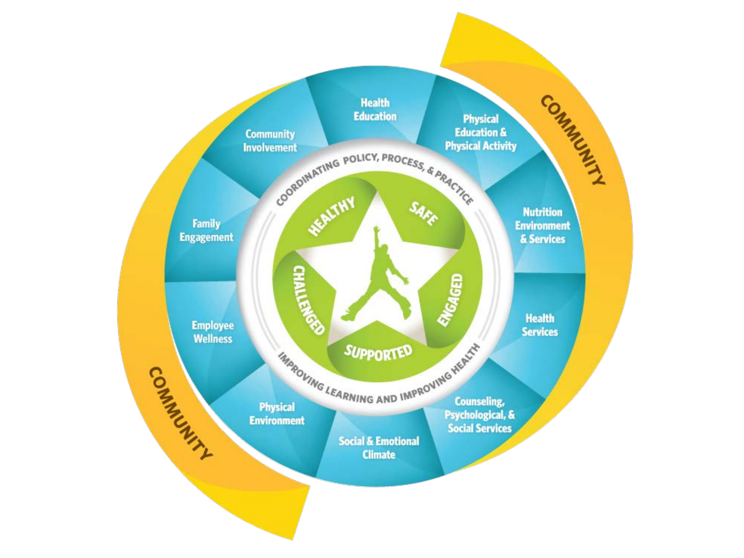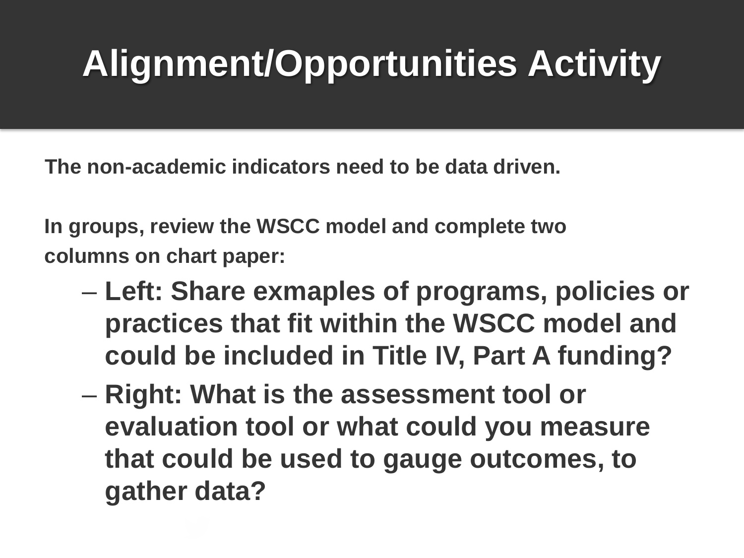### **Alignment/Opportunities Activity**

**The non-academic indicators need to be data driven.** 

**In groups, review the WSCC model and complete two columns on chart paper:**

- **Left: Share exmaples of programs, policies or practices that fit within the WSCC model and could be included in Title IV, Part A funding?**
- **Right: What is the assessment tool or evaluation tool or what could you measure that could be used to gauge outcomes, to gather data?**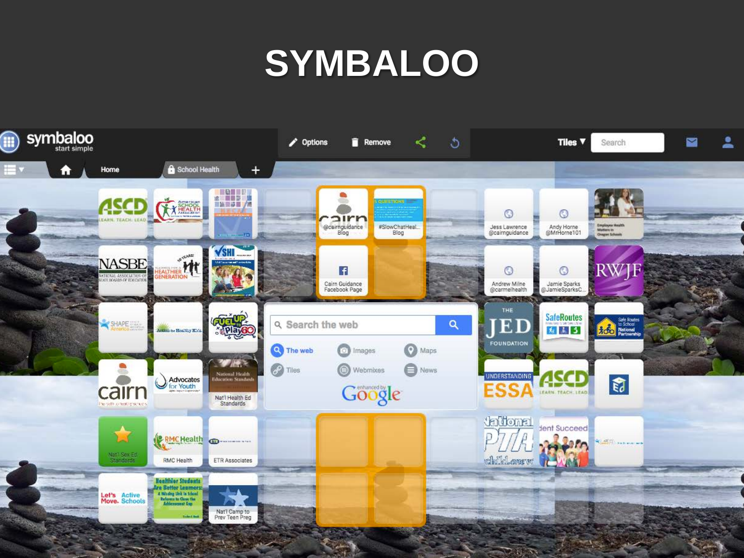#### **SYMBALOO**

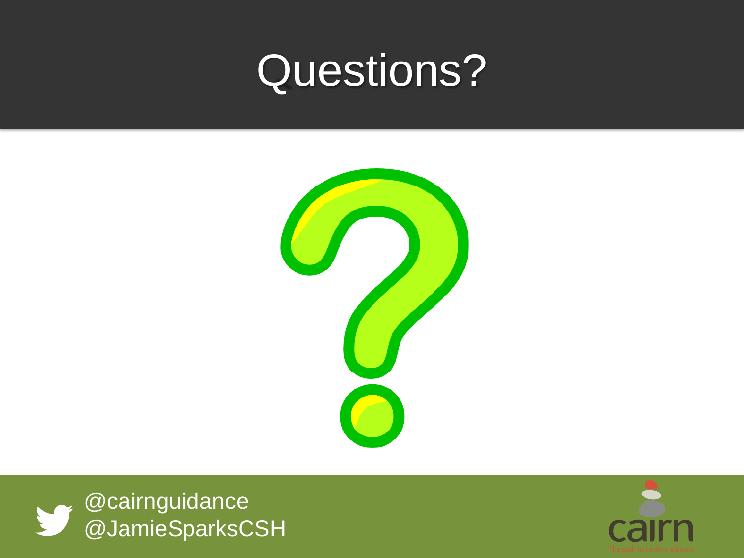### Questions?